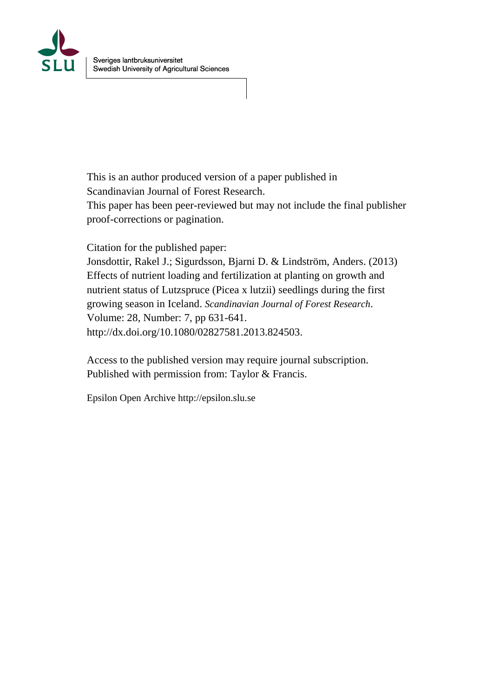

This is an author produced version of a paper published in Scandinavian Journal of Forest Research.

This paper has been peer-reviewed but may not include the final publisher proof-corrections or pagination.

Citation for the published paper:

Jonsdottir, Rakel J.; Sigurdsson, Bjarni D. & Lindström, Anders. (2013) Effects of nutrient loading and fertilization at planting on growth and nutrient status of Lutzspruce (Picea x lutzii) seedlings during the first growing season in Iceland. *Scandinavian Journal of Forest Research*. Volume: 28, Number: 7, pp 631-641. http://dx.doi.org/10.1080/02827581.2013.824503.

Access to the published version may require journal subscription. Published with permission from: Taylor & Francis.

Epsilon Open Archive http://epsilon.slu.se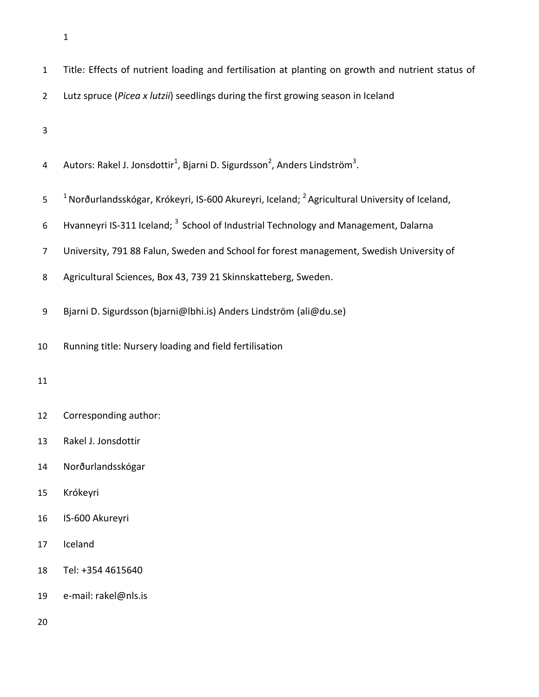| $\mathbf 1$    | Title: Effects of nutrient loading and fertilisation at planting on growth and nutrient status of              |
|----------------|----------------------------------------------------------------------------------------------------------------|
| $\overline{2}$ | Lutz spruce (Picea x lutzii) seedlings during the first growing season in Iceland                              |
| 3              |                                                                                                                |
| 4              | Autors: Rakel J. Jonsdottir <sup>1</sup> , Bjarni D. Sigurdsson <sup>2</sup> , Anders Lindström <sup>3</sup> . |
| 5              | $1$ Norðurlandsskógar, Krókeyri, IS-600 Akureyri, Iceland; $2$ Agricultural University of Iceland,             |
| 6              | Hvanneyri IS-311 Iceland; <sup>3</sup> School of Industrial Technology and Management, Dalarna                 |
| $\overline{7}$ | University, 791 88 Falun, Sweden and School for forest management, Swedish University of                       |
| 8              | Agricultural Sciences, Box 43, 739 21 Skinnskatteberg, Sweden.                                                 |
| 9              | Bjarni D. Sigurdsson (bjarni@lbhi.is) Anders Lindström (ali@du.se)                                             |
| 10             | Running title: Nursery loading and field fertilisation                                                         |
| 11             |                                                                                                                |
| 12             | Corresponding author:                                                                                          |
| 13             | Rakel J. Jonsdottir                                                                                            |
| 14             | Norðurlandsskógar                                                                                              |
| 15             | Krókeyri                                                                                                       |
| 16             | IS-600 Akureyri                                                                                                |
| 17             | Iceland                                                                                                        |
| 18             | Tel: +354 4615640                                                                                              |
| 19             | e-mail: rakel@nls.is                                                                                           |
| 20             |                                                                                                                |
|                |                                                                                                                |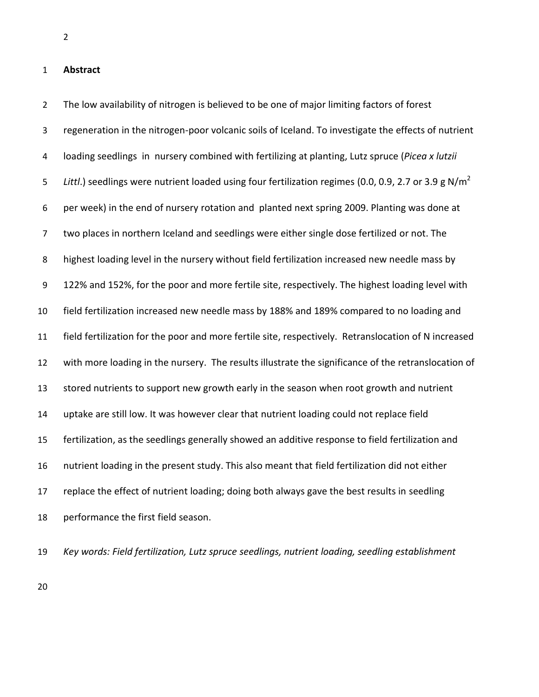## **Abstract**

 The low availability of nitrogen is believed to be one of major limiting factors of forest regeneration in the nitrogen-poor volcanic soils of Iceland. To investigate the effects of nutrient loading seedlings in nursery combined with fertilizing at planting, Lutz spruce (*Picea x lutzii Littl.*) seedlings were nutrient loaded using four fertilization regimes (0.0, 0.9, 2.7 or 3.9 g N/m<sup>2</sup> per week) in the end of nursery rotation and planted next spring 2009. Planting was done at two places in northern Iceland and seedlings were either single dose fertilized or not. The highest loading level in the nursery without field fertilization increased new needle mass by 122% and 152%, for the poor and more fertile site, respectively. The highest loading level with field fertilization increased new needle mass by 188% and 189% compared to no loading and field fertilization for the poor and more fertile site, respectively. Retranslocation of N increased with more loading in the nursery. The results illustrate the significance of the retranslocation of stored nutrients to support new growth early in the season when root growth and nutrient uptake are still low. It was however clear that nutrient loading could not replace field fertilization, as the seedlings generally showed an additive response to field fertilization and nutrient loading in the present study. This also meant that field fertilization did not either replace the effect of nutrient loading; doing both always gave the best results in seedling performance the first field season.

*Key words: Field fertilization, Lutz spruce seedlings, nutrient loading, seedling establishment*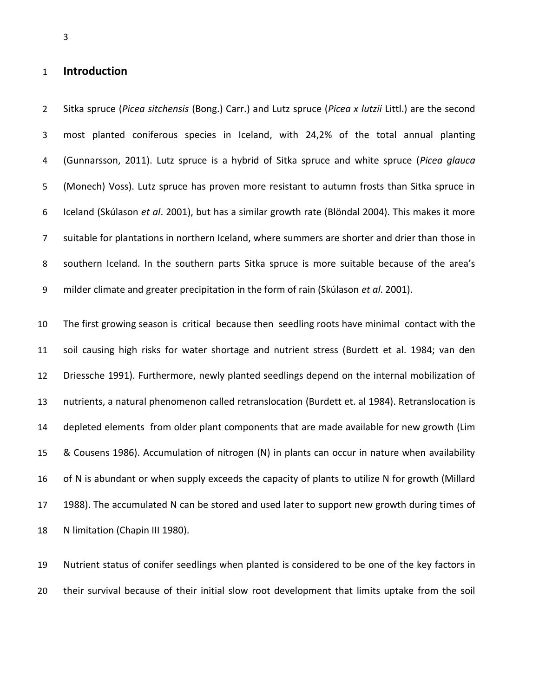# **Introduction**

 Sitka spruce (*Picea sitchensis* (Bong.) Carr.) and Lutz spruce (*Picea x lutzii* Littl.) are the second most planted coniferous species in Iceland, with 24,2% of the total annual planting (Gunnarsson, 2011). Lutz spruce is a hybrid of Sitka spruce and white spruce (*Picea glauca*  (Monech) Voss). Lutz spruce has proven more resistant to autumn frosts than Sitka spruce in Iceland (Skúlason *et al*. 2001), but has a similar growth rate (Blöndal 2004). This makes it more suitable for plantations in northern Iceland, where summers are shorter and drier than those in southern Iceland. In the southern parts Sitka spruce is more suitable because of the area's milder climate and greater precipitation in the form of rain (Skúlason *et al*. 2001).

 The first growing season is critical because then seedling roots have minimal contact with the soil causing high risks for water shortage and nutrient stress (Burdett et al. 1984; van den Driessche 1991). Furthermore, newly planted seedlings depend on the internal mobilization of nutrients, a natural phenomenon called retranslocation (Burdett et. al 1984). Retranslocation is depleted elements from older plant components that are made available for new growth (Lim & Cousens 1986). Accumulation of nitrogen (N) in plants can occur in nature when availability of N is abundant or when supply exceeds the capacity of plants to utilize N for growth (Millard 17 1988). The accumulated N can be stored and used later to support new growth during times of N limitation (Chapin III 1980).

 Nutrient status of conifer seedlings when planted is considered to be one of the key factors in their survival because of their initial slow root development that limits uptake from the soil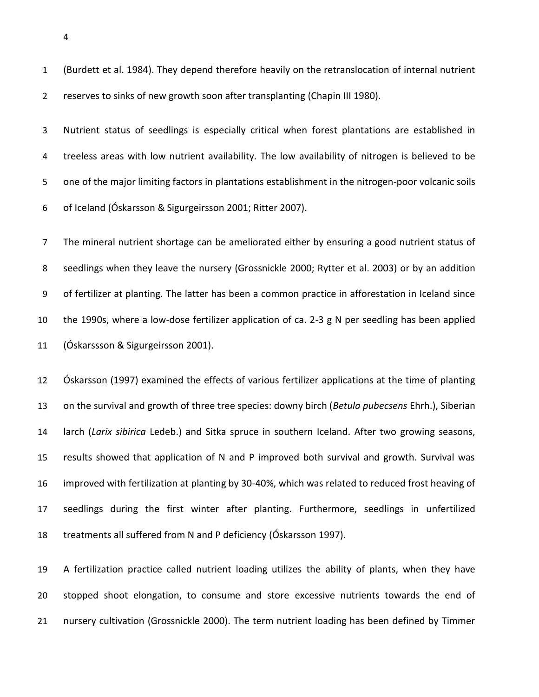(Burdett et al. 1984). They depend therefore heavily on the retranslocation of internal nutrient reserves to sinks of new growth soon after transplanting (Chapin III 1980).

 Nutrient status of seedlings is especially critical when forest plantations are established in treeless areas with low nutrient availability. The low availability of nitrogen is believed to be one of the major limiting factors in plantations establishment in the nitrogen-poor volcanic soils of Iceland (Óskarsson & Sigurgeirsson 2001; Ritter 2007).

 The mineral nutrient shortage can be ameliorated either by ensuring a good nutrient status of seedlings when they leave the nursery (Grossnickle 2000; Rytter et al. 2003) or by an addition of fertilizer at planting. The latter has been a common practice in afforestation in Iceland since the 1990s, where a low-dose fertilizer application of ca. 2-3 g N per seedling has been applied (Óskarssson & Sigurgeirsson 2001).

 Óskarsson (1997) examined the effects of various fertilizer applications at the time of planting on the survival and growth of three tree species: downy birch (*Betula pubecsens* Ehrh.), Siberian larch (*Larix sibirica* Ledeb.) and Sitka spruce in southern Iceland. After two growing seasons, results showed that application of N and P improved both survival and growth. Survival was improved with fertilization at planting by 30-40%, which was related to reduced frost heaving of seedlings during the first winter after planting. Furthermore, seedlings in unfertilized treatments all suffered from N and P deficiency (Óskarsson 1997).

 A fertilization practice called nutrient loading utilizes the ability of plants, when they have stopped shoot elongation, to consume and store excessive nutrients towards the end of nursery cultivation (Grossnickle 2000). The term nutrient loading has been defined by Timmer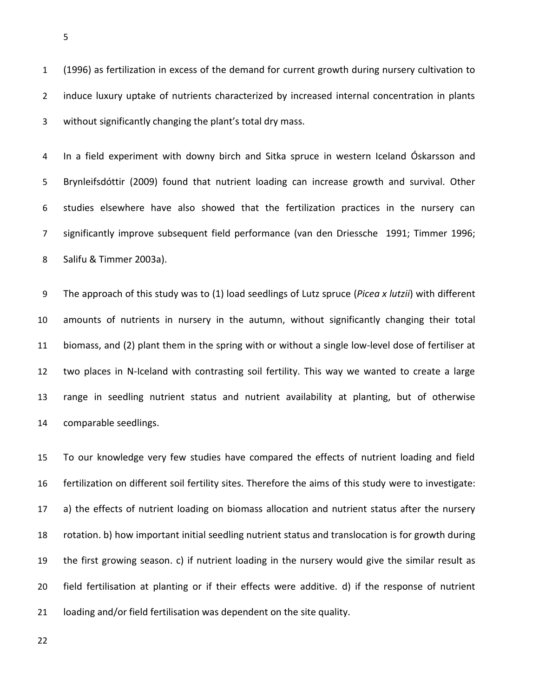(1996) as fertilization in excess of the demand for current growth during nursery cultivation to induce luxury uptake of nutrients characterized by increased internal concentration in plants without significantly changing the plant's total dry mass.

 In a field experiment with downy birch and Sitka spruce in western Iceland Óskarsson and Brynleifsdóttir (2009) found that nutrient loading can increase growth and survival. Other studies elsewhere have also showed that the fertilization practices in the nursery can significantly improve subsequent field performance (van den Driessche 1991; Timmer 1996; Salifu & Timmer 2003a).

 The approach of this study was to (1) load seedlings of Lutz spruce (*Picea x lutzii*) with different amounts of nutrients in nursery in the autumn, without significantly changing their total biomass, and (2) plant them in the spring with or without a single low-level dose of fertiliser at two places in N-Iceland with contrasting soil fertility. This way we wanted to create a large range in seedling nutrient status and nutrient availability at planting, but of otherwise comparable seedlings.

 To our knowledge very few studies have compared the effects of nutrient loading and field fertilization on different soil fertility sites. Therefore the aims of this study were to investigate: a) the effects of nutrient loading on biomass allocation and nutrient status after the nursery rotation. b) how important initial seedling nutrient status and translocation is for growth during the first growing season. c) if nutrient loading in the nursery would give the similar result as field fertilisation at planting or if their effects were additive. d) if the response of nutrient loading and/or field fertilisation was dependent on the site quality.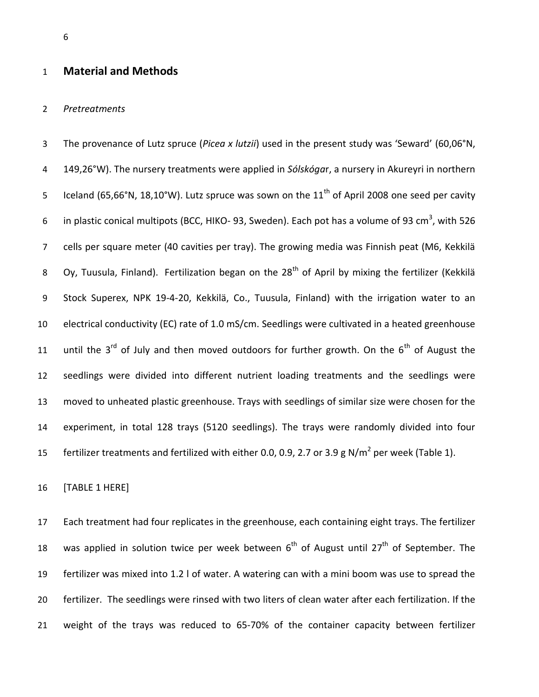# **Material and Methods**

#### *Pretreatments*

 The provenance of Lutz spruce (*Picea x lutzii*) used in the present study was 'Seward' (60,06°N, 149,26°W). The nursery treatments were applied in *Sólskóga*r, a nursery in Akureyri in northern Iceland (65,66°N, 18,10°W). Lutz spruce was sown on the 11<sup>th</sup> of April 2008 one seed per cavity 6 in plastic conical multipots (BCC, HIKO- 93, Sweden). Each pot has a volume of 93 cm<sup>3</sup>, with 526 cells per square meter (40 cavities per tray). The growing media was Finnish peat (M6, Kekkilä 8 Oy, Tuusula, Finland). Fertilization began on the  $28<sup>th</sup>$  of April by mixing the fertilizer (Kekkilä Stock Superex, NPK 19-4-20, Kekkilä, Co., Tuusula, Finland) with the irrigation water to an electrical conductivity (EC) rate of 1.0 mS/cm. Seedlings were cultivated in a heated greenhouse 11 until the 3<sup>rd</sup> of July and then moved outdoors for further growth. On the  $6<sup>th</sup>$  of August the seedlings were divided into different nutrient loading treatments and the seedlings were moved to unheated plastic greenhouse. Trays with seedlings of similar size were chosen for the experiment, in total 128 trays (5120 seedlings). The trays were randomly divided into four 15 fertilizer treatments and fertilized with either 0.0, 0.9, 2.7 or 3.9 g N/m<sup>2</sup> per week (Table 1).

[TABLE 1 HERE]

 Each treatment had four replicates in the greenhouse, each containing eight trays. The fertilizer 18 was applied in solution twice per week between  $6<sup>th</sup>$  of August until 27<sup>th</sup> of September. The fertilizer was mixed into 1.2 l of water. A watering can with a mini boom was use to spread the fertilizer. The seedlings were rinsed with two liters of clean water after each fertilization. If the weight of the trays was reduced to 65-70% of the container capacity between fertilizer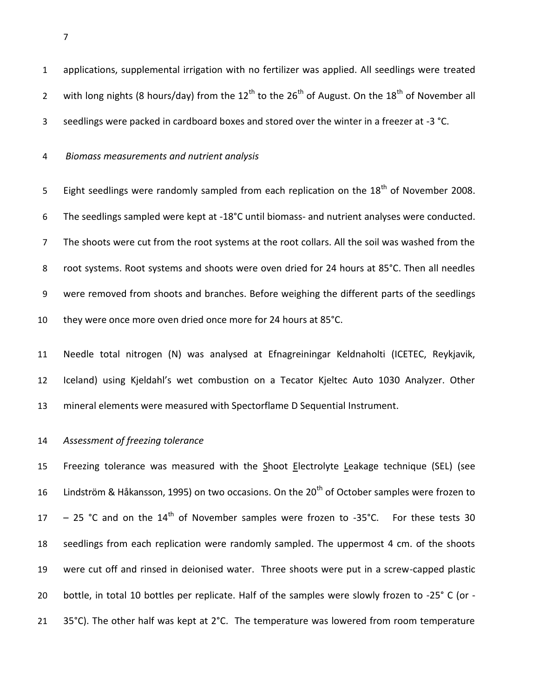applications, supplemental irrigation with no fertilizer was applied. All seedlings were treated 2 with long nights (8 hours/day) from the  $12^{th}$  to the  $26^{th}$  of August. On the  $18^{th}$  of November all seedlings were packed in cardboard boxes and stored over the winter in a freezer at -3 °C.

*Biomass measurements and nutrient analysis*

Eight seedlings were randomly sampled from each replication on the  $18<sup>th</sup>$  of November 2008. The seedlings sampled were kept at -18°C until biomass- and nutrient analyses were conducted. The shoots were cut from the root systems at the root collars. All the soil was washed from the root systems. Root systems and shoots were oven dried for 24 hours at 85°C. Then all needles were removed from shoots and branches. Before weighing the different parts of the seedlings 10 they were once more oven dried once more for 24 hours at 85°C.

 Needle total nitrogen (N) was analysed at Efnagreiningar Keldnaholti (ICETEC, Reykjavik, Iceland) using Kjeldahl's wet combustion on a Tecator Kjeltec Auto 1030 Analyzer. Other mineral elements were measured with Spectorflame D Sequential Instrument.

#### *Assessment of freezing tolerance*

 Freezing tolerance was measured with the Shoot Electrolyte Leakage technique (SEL) (see 16 Lindström & Håkansson, 1995) on two occasions. On the  $20<sup>th</sup>$  of October samples were frozen to  $-$  25 °C and on the 14<sup>th</sup> of November samples were frozen to -35°C. For these tests 30 seedlings from each replication were randomly sampled. The uppermost 4 cm. of the shoots were cut off and rinsed in deionised water. Three shoots were put in a screw-capped plastic bottle, in total 10 bottles per replicate. Half of the samples were slowly frozen to -25° C (or - 21 35°C). The other half was kept at 2°C. The temperature was lowered from room temperature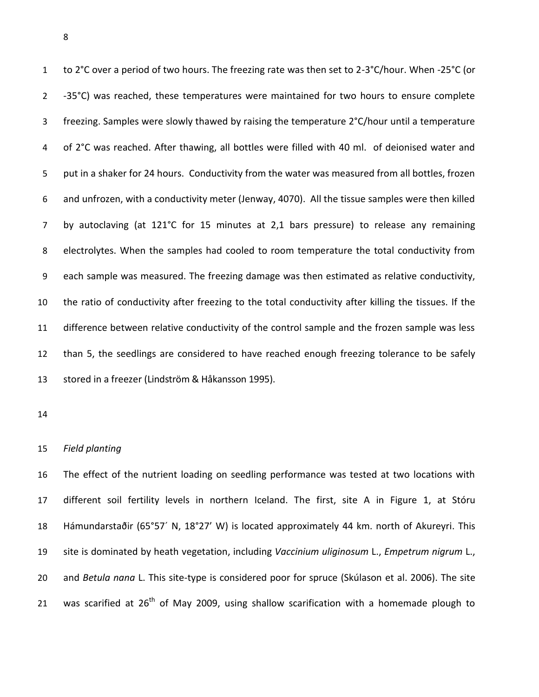1 to 2°C over a period of two hours. The freezing rate was then set to 2-3°C/hour. When -25°C (or -35°C) was reached, these temperatures were maintained for two hours to ensure complete freezing. Samples were slowly thawed by raising the temperature 2°C/hour until a temperature of 2°C was reached. After thawing, all bottles were filled with 40 ml. of deionised water and put in a shaker for 24 hours. Conductivity from the water was measured from all bottles, frozen and unfrozen, with a conductivity meter (Jenway, 4070). All the tissue samples were then killed by autoclaving (at 121°C for 15 minutes at 2,1 bars pressure) to release any remaining electrolytes. When the samples had cooled to room temperature the total conductivity from each sample was measured. The freezing damage was then estimated as relative conductivity, the ratio of conductivity after freezing to the total conductivity after killing the tissues. If the difference between relative conductivity of the control sample and the frozen sample was less than 5, the seedlings are considered to have reached enough freezing tolerance to be safely stored in a freezer (Lindström & Håkansson 1995).

#### *Field planting*

 The effect of the nutrient loading on seedling performance was tested at two locations with different soil fertility levels in northern Iceland. The first, site A in Figure 1, at Stóru Hámundarstaðir (65°57´ N, 18°27' W) is located approximately 44 km. north of Akureyri. This site is dominated by heath vegetation, including *Vaccinium uliginosum* L., *Empetrum nigrum* L., and *Betula nana* L. This site-type is considered poor for spruce (Skúlason et al. 2006). The site 21 was scarified at  $26<sup>th</sup>$  of May 2009, using shallow scarification with a homemade plough to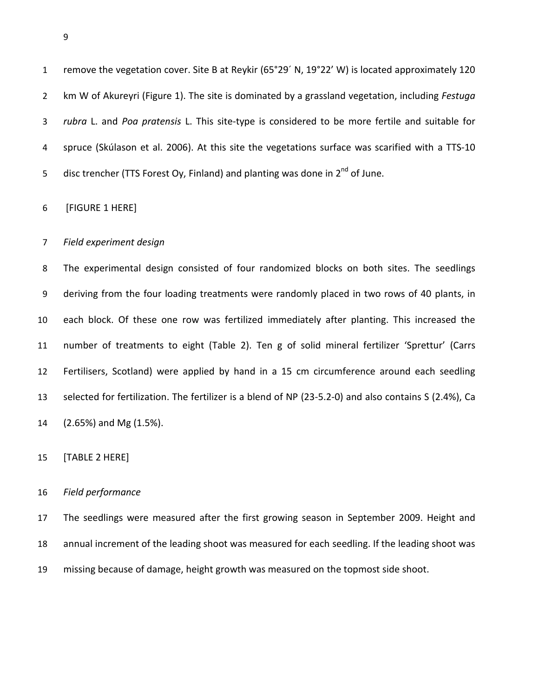remove the vegetation cover. Site B at Reykir (65°29´ N, 19°22' W) is located approximately 120 km W of Akureyri (Figure 1). The site is dominated by a grassland vegetation, including *Festuga rubra* L. and *Poa pratensis* L. This site-type is considered to be more fertile and suitable for spruce (Skúlason et al. 2006). At this site the vegetations surface was scarified with a TTS-10 5 disc trencher (TTS Forest Oy, Finland) and planting was done in  $2^{nd}$  of June.

[FIGURE 1 HERE]

#### *Field experiment design*

 The experimental design consisted of four randomized blocks on both sites. The seedlings deriving from the four loading treatments were randomly placed in two rows of 40 plants, in each block. Of these one row was fertilized immediately after planting. This increased the number of treatments to eight (Table 2). Ten g of solid mineral fertilizer 'Sprettur' (Carrs Fertilisers, Scotland) were applied by hand in a 15 cm circumference around each seedling selected for fertilization. The fertilizer is a blend of NP (23-5.2-0) and also contains S (2.4%), Ca (2.65%) and Mg (1.5%).

## [TABLE 2 HERE]

#### *Field performance*

 The seedlings were measured after the first growing season in September 2009. Height and annual increment of the leading shoot was measured for each seedling. If the leading shoot was missing because of damage, height growth was measured on the topmost side shoot.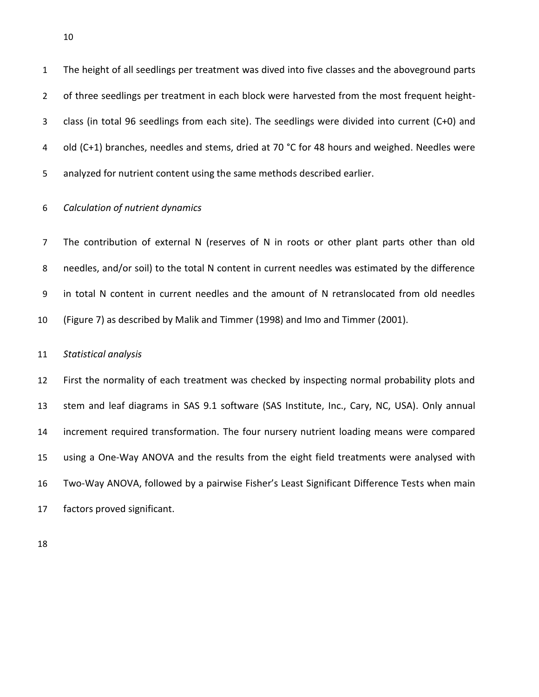The height of all seedlings per treatment was dived into five classes and the aboveground parts 2 of three seedlings per treatment in each block were harvested from the most frequent height- class (in total 96 seedlings from each site). The seedlings were divided into current (C+0) and 4 old (C+1) branches, needles and stems, dried at 70 °C for 48 hours and weighed. Needles were analyzed for nutrient content using the same methods described earlier.

# *Calculation of nutrient dynamics*

 The contribution of external N (reserves of N in roots or other plant parts other than old needles, and/or soil) to the total N content in current needles was estimated by the difference in total N content in current needles and the amount of N retranslocated from old needles (Figure 7) as described by Malik and Timmer (1998) and Imo and Timmer (2001).

#### *Statistical analysis*

 First the normality of each treatment was checked by inspecting normal probability plots and stem and leaf diagrams in SAS 9.1 software (SAS Institute, Inc., Cary, NC, USA). Only annual increment required transformation. The four nursery nutrient loading means were compared using a One-Way ANOVA and the results from the eight field treatments were analysed with Two-Way ANOVA, followed by a pairwise Fisher's Least Significant Difference Tests when main factors proved significant.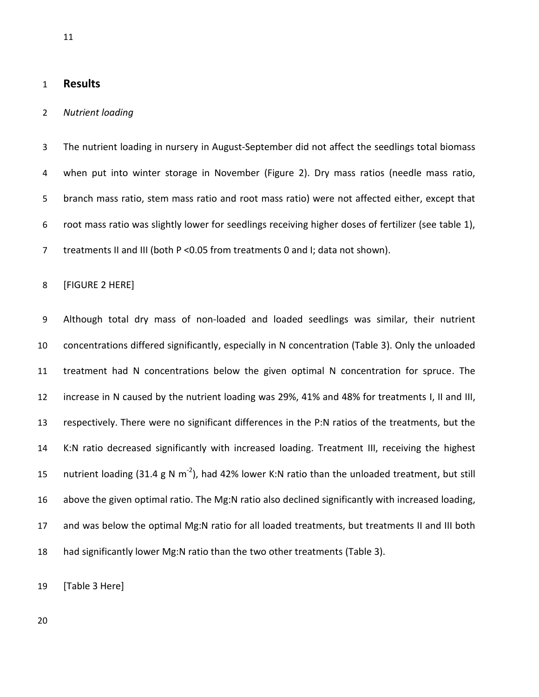## **Results**

## *Nutrient loading*

 The nutrient loading in nursery in August-September did not affect the seedlings total biomass when put into winter storage in November (Figure 2). Dry mass ratios (needle mass ratio, branch mass ratio, stem mass ratio and root mass ratio) were not affected either, except that root mass ratio was slightly lower for seedlings receiving higher doses of fertilizer (see table 1), 7 treatments II and III (both P < 0.05 from treatments 0 and I; data not shown).

#### [FIGURE 2 HERE]

 Although total dry mass of non-loaded and loaded seedlings was similar, their nutrient concentrations differed significantly, especially in N concentration (Table 3). Only the unloaded treatment had N concentrations below the given optimal N concentration for spruce. The increase in N caused by the nutrient loading was 29%, 41% and 48% for treatments I, II and III, respectively. There were no significant differences in the P:N ratios of the treatments, but the K:N ratio decreased significantly with increased loading. Treatment III, receiving the highest 15 nutrient loading (31.4 g N m<sup>-2</sup>), had 42% lower K:N ratio than the unloaded treatment, but still above the given optimal ratio. The Mg:N ratio also declined significantly with increased loading, and was below the optimal Mg:N ratio for all loaded treatments, but treatments II and III both had significantly lower Mg:N ratio than the two other treatments (Table 3).

[Table 3 Here]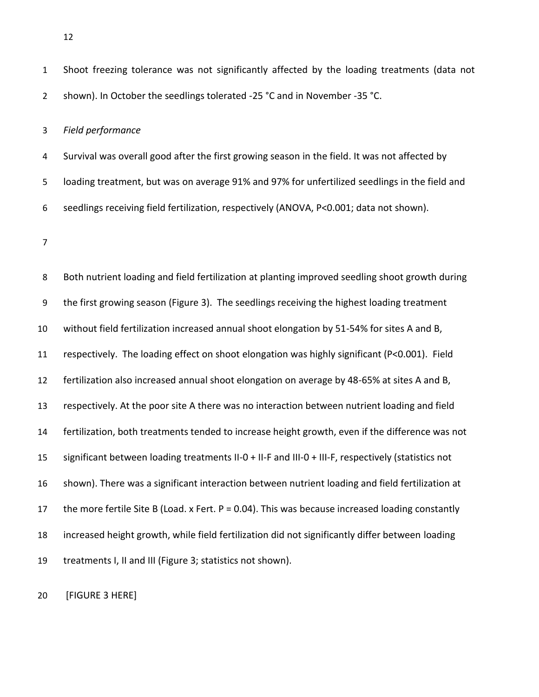Shoot freezing tolerance was not significantly affected by the loading treatments (data not 2 shown). In October the seedlings tolerated -25 °C and in November -35 °C.

#### *Field performance*

 Survival was overall good after the first growing season in the field. It was not affected by loading treatment, but was on average 91% and 97% for unfertilized seedlings in the field and seedlings receiving field fertilization, respectively (ANOVA, P<0.001; data not shown).

 Both nutrient loading and field fertilization at planting improved seedling shoot growth during the first growing season (Figure 3). The seedlings receiving the highest loading treatment without field fertilization increased annual shoot elongation by 51-54% for sites A and B, respectively. The loading effect on shoot elongation was highly significant (P<0.001). Field fertilization also increased annual shoot elongation on average by 48-65% at sites A and B, respectively. At the poor site A there was no interaction between nutrient loading and field fertilization, both treatments tended to increase height growth, even if the difference was not significant between loading treatments II-0 + II-F and III-0 + III-F, respectively (statistics not shown). There was a significant interaction between nutrient loading and field fertilization at 17 the more fertile Site B (Load. x Fert.  $P = 0.04$ ). This was because increased loading constantly increased height growth, while field fertilization did not significantly differ between loading treatments I, II and III (Figure 3; statistics not shown).

[FIGURE 3 HERE]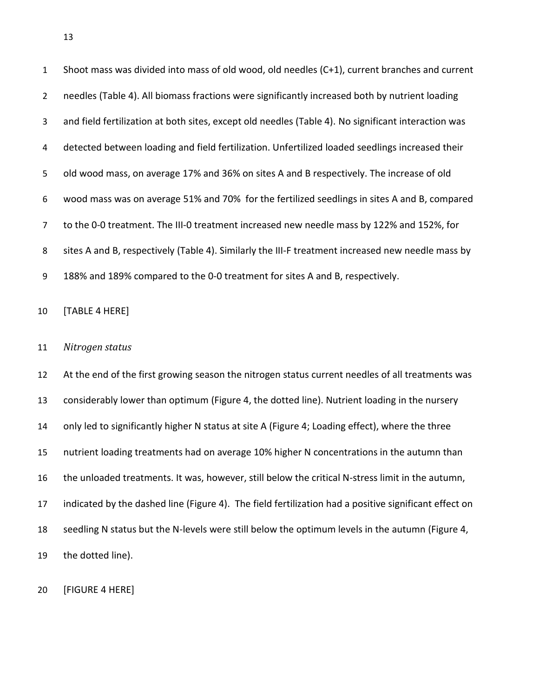Shoot mass was divided into mass of old wood, old needles (C+1), current branches and current needles (Table 4). All biomass fractions were significantly increased both by nutrient loading and field fertilization at both sites, except old needles (Table 4). No significant interaction was detected between loading and field fertilization. Unfertilized loaded seedlings increased their old wood mass, on average 17% and 36% on sites A and B respectively. The increase of old wood mass was on average 51% and 70% for the fertilized seedlings in sites A and B, compared to the 0-0 treatment. The III-0 treatment increased new needle mass by 122% and 152%, for sites A and B, respectively (Table 4). Similarly the III-F treatment increased new needle mass by 188% and 189% compared to the 0-0 treatment for sites A and B, respectively. [TABLE 4 HERE] *Nitrogen status*  At the end of the first growing season the nitrogen status current needles of all treatments was considerably lower than optimum (Figure 4, the dotted line). Nutrient loading in the nursery only led to significantly higher N status at site A (Figure 4; Loading effect), where the three nutrient loading treatments had on average 10% higher N concentrations in the autumn than the unloaded treatments. It was, however, still below the critical N-stress limit in the autumn, indicated by the dashed line (Figure 4). The field fertilization had a positive significant effect on seedling N status but the N-levels were still below the optimum levels in the autumn (Figure 4, the dotted line).

[FIGURE 4 HERE]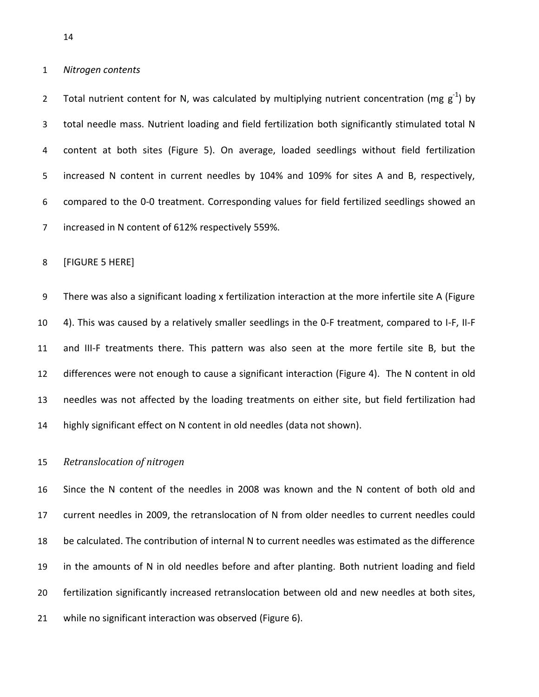*Nitrogen contents* 

2 Total nutrient content for N, was calculated by multiplying nutrient concentration (mg  $g^{-1}$ ) by total needle mass. Nutrient loading and field fertilization both significantly stimulated total N content at both sites (Figure 5). On average, loaded seedlings without field fertilization increased N content in current needles by 104% and 109% for sites A and B, respectively, compared to the 0-0 treatment. Corresponding values for field fertilized seedlings showed an increased in N content of 612% respectively 559%.

[FIGURE 5 HERE]

 There was also a significant loading x fertilization interaction at the more infertile site A (Figure 4). This was caused by a relatively smaller seedlings in the 0-F treatment, compared to I-F, II-F and III-F treatments there. This pattern was also seen at the more fertile site B, but the differences were not enough to cause a significant interaction (Figure 4). The N content in old needles was not affected by the loading treatments on either site, but field fertilization had highly significant effect on N content in old needles (data not shown).

#### *Retranslocation of nitrogen*

 Since the N content of the needles in 2008 was known and the N content of both old and current needles in 2009, the retranslocation of N from older needles to current needles could be calculated. The contribution of internal N to current needles was estimated as the difference in the amounts of N in old needles before and after planting. Both nutrient loading and field fertilization significantly increased retranslocation between old and new needles at both sites, while no significant interaction was observed (Figure 6).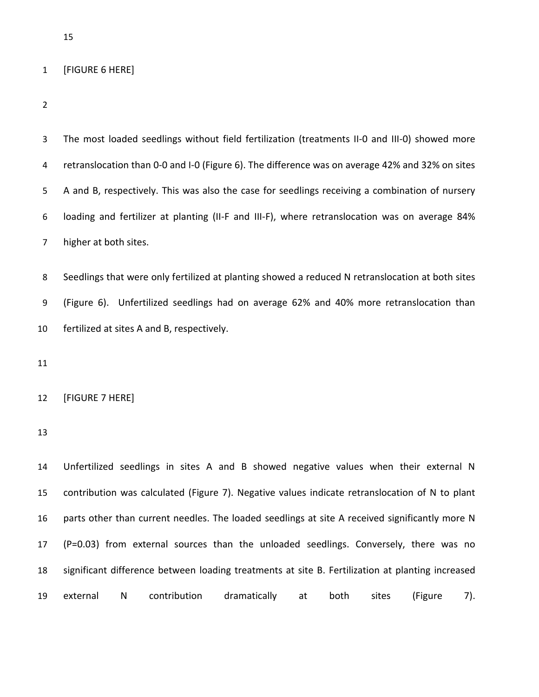# [FIGURE 6 HERE]

| 3              | The most loaded seedlings without field fertilization (treatments II-0 and III-0) showed more    |
|----------------|--------------------------------------------------------------------------------------------------|
| 4              | retranslocation than 0-0 and I-0 (Figure 6). The difference was on average 42% and 32% on sites  |
| 5              | A and B, respectively. This was also the case for seedlings receiving a combination of nursery   |
| 6              | loading and fertilizer at planting (II-F and III-F), where retranslocation was on average 84%    |
| $\overline{7}$ | higher at both sites.                                                                            |
| 8              | Seedlings that were only fertilized at planting showed a reduced N retranslocation at both sites |
| 9              | (Figure 6). Unfertilized seedlings had on average 62% and 40% more retranslocation than          |
| 10             | fertilized at sites A and B, respectively.                                                       |
| 11             |                                                                                                  |
| 12             | [FIGURE 7 HERE]                                                                                  |
| 13             |                                                                                                  |
| 14             | Unfertilized seedlings in sites A and B showed negative values when their external N             |
| 15             | contribution was calculated (Figure 7). Negative values indicate retranslocation of N to plant   |
| 16             | parts other than current needles. The loaded seedlings at site A received significantly more N   |
| 17             | (P=0.03) from external sources than the unloaded seedlings. Conversely, there was no             |
| 18             | significant difference between loading treatments at site B. Fertilization at planting increased |
| 19             | contribution<br>dramatically<br>external<br>N<br>both<br>sites<br>(Figure<br>at<br>7).           |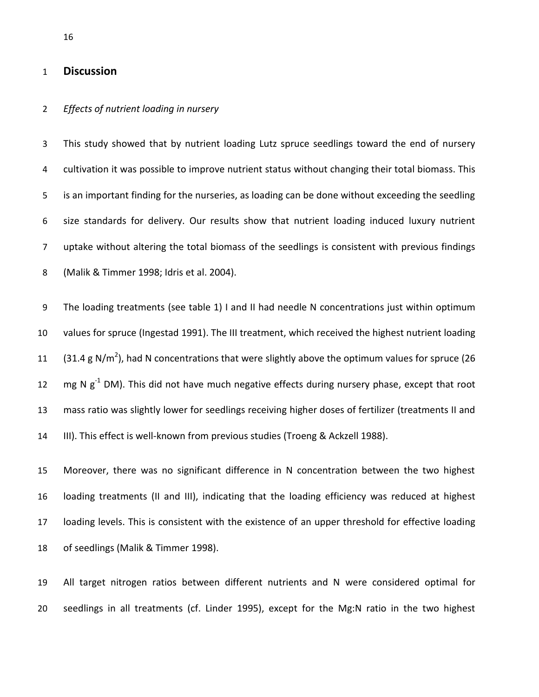# **Discussion**

#### *Effects of nutrient loading in nursery*

 This study showed that by nutrient loading Lutz spruce seedlings toward the end of nursery 4 cultivation it was possible to improve nutrient status without changing their total biomass. This is an important finding for the nurseries, as loading can be done without exceeding the seedling size standards for delivery. Our results show that nutrient loading induced luxury nutrient uptake without altering the total biomass of the seedlings is consistent with previous findings (Malik & Timmer 1998; Idris et al. 2004).

 The loading treatments (see table 1) I and II had needle N concentrations just within optimum values for spruce (Ingestad 1991). The III treatment, which received the highest nutrient loading 11 (31.4 g N/m<sup>2</sup>), had N concentrations that were slightly above the optimum values for spruce (26  $\text{mg N g}^{-1}$  DM). This did not have much negative effects during nursery phase, except that root mass ratio was slightly lower for seedlings receiving higher doses of fertilizer (treatments II and III). This effect is well-known from previous studies (Troeng & Ackzell 1988).

 Moreover, there was no significant difference in N concentration between the two highest loading treatments (II and III), indicating that the loading efficiency was reduced at highest loading levels. This is consistent with the existence of an upper threshold for effective loading of seedlings (Malik & Timmer 1998).

 All target nitrogen ratios between different nutrients and N were considered optimal for seedlings in all treatments (cf. Linder 1995), except for the Mg:N ratio in the two highest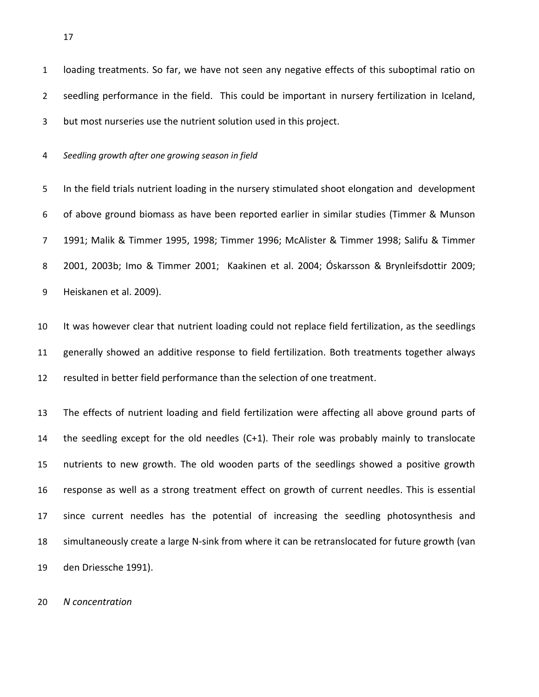loading treatments. So far, we have not seen any negative effects of this suboptimal ratio on seedling performance in the field. This could be important in nursery fertilization in Iceland, but most nurseries use the nutrient solution used in this project.

*Seedling growth after one growing season in field*

 In the field trials nutrient loading in the nursery stimulated shoot elongation and development of above ground biomass as have been reported earlier in similar studies (Timmer & Munson 1991; Malik & Timmer 1995, 1998; Timmer 1996; McAlister & Timmer 1998; Salifu & Timmer 2001, 2003b; Imo & Timmer 2001; Kaakinen et al. 2004; Óskarsson & Brynleifsdottir 2009; Heiskanen et al. 2009).

 It was however clear that nutrient loading could not replace field fertilization, as the seedlings generally showed an additive response to field fertilization. Both treatments together always resulted in better field performance than the selection of one treatment.

 The effects of nutrient loading and field fertilization were affecting all above ground parts of the seedling except for the old needles (C+1). Their role was probably mainly to translocate nutrients to new growth. The old wooden parts of the seedlings showed a positive growth response as well as a strong treatment effect on growth of current needles. This is essential since current needles has the potential of increasing the seedling photosynthesis and simultaneously create a large N-sink from where it can be retranslocated for future growth (van den Driessche 1991).

*N concentration*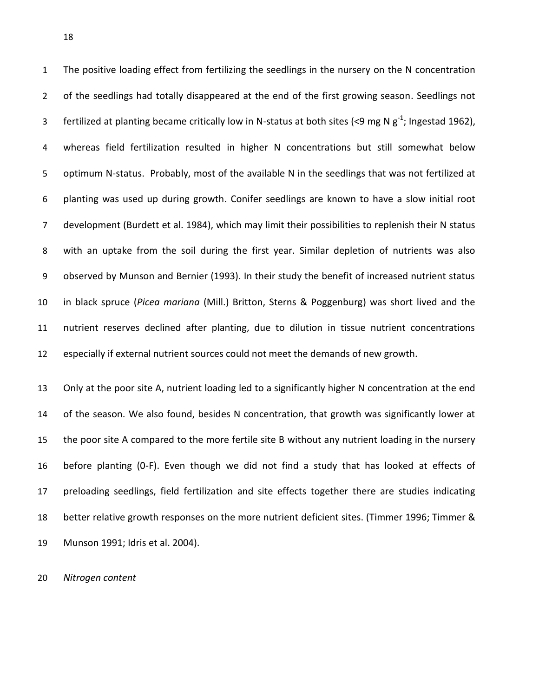The positive loading effect from fertilizing the seedlings in the nursery on the N concentration 2 of the seedlings had totally disappeared at the end of the first growing season. Seedlings not 3 fertilized at planting became critically low in N-status at both sites (<9 mg N  $g^{-1}$ ; Ingestad 1962), whereas field fertilization resulted in higher N concentrations but still somewhat below optimum N-status. Probably, most of the available N in the seedlings that was not fertilized at planting was used up during growth. Conifer seedlings are known to have a slow initial root development (Burdett et al. 1984), which may limit their possibilities to replenish their N status with an uptake from the soil during the first year. Similar depletion of nutrients was also observed by Munson and Bernier (1993). In their study the benefit of increased nutrient status in black spruce (*Picea mariana* (Mill.) Britton, Sterns & Poggenburg) was short lived and the nutrient reserves declined after planting, due to dilution in tissue nutrient concentrations especially if external nutrient sources could not meet the demands of new growth.

 Only at the poor site A, nutrient loading led to a significantly higher N concentration at the end of the season. We also found, besides N concentration, that growth was significantly lower at the poor site A compared to the more fertile site B without any nutrient loading in the nursery before planting (0-F). Even though we did not find a study that has looked at effects of preloading seedlings, field fertilization and site effects together there are studies indicating better relative growth responses on the more nutrient deficient sites. (Timmer 1996; Timmer & Munson 1991; Idris et al. 2004).

*Nitrogen content*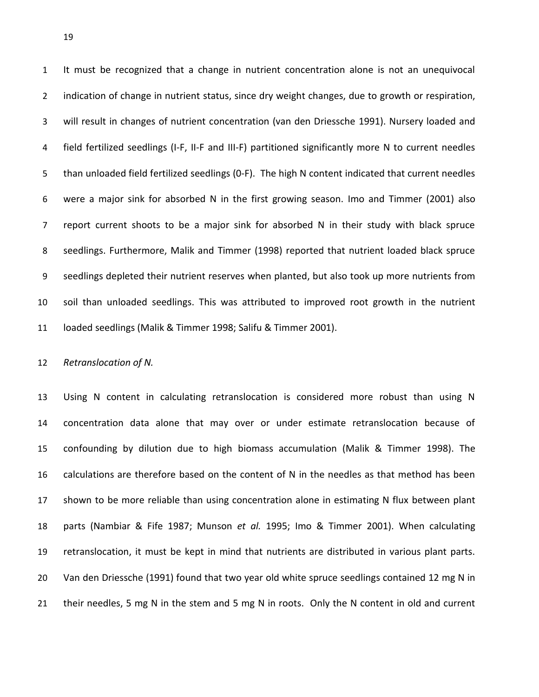It must be recognized that a change in nutrient concentration alone is not an unequivocal 2 indication of change in nutrient status, since dry weight changes, due to growth or respiration, will result in changes of nutrient concentration (van den Driessche 1991). Nursery loaded and field fertilized seedlings (I-F, II-F and III-F) partitioned significantly more N to current needles than unloaded field fertilized seedlings (0-F). The high N content indicated that current needles were a major sink for absorbed N in the first growing season. Imo and Timmer (2001) also report current shoots to be a major sink for absorbed N in their study with black spruce seedlings. Furthermore, Malik and Timmer (1998) reported that nutrient loaded black spruce seedlings depleted their nutrient reserves when planted, but also took up more nutrients from soil than unloaded seedlings. This was attributed to improved root growth in the nutrient loaded seedlings (Malik & Timmer 1998; Salifu & Timmer 2001).

*Retranslocation of N.* 

 Using N content in calculating retranslocation is considered more robust than using N concentration data alone that may over or under estimate retranslocation because of confounding by dilution due to high biomass accumulation (Malik & Timmer 1998). The calculations are therefore based on the content of N in the needles as that method has been shown to be more reliable than using concentration alone in estimating N flux between plant parts (Nambiar & Fife 1987; Munson *et al.* 1995; Imo & Timmer 2001). When calculating retranslocation, it must be kept in mind that nutrients are distributed in various plant parts. Van den Driessche (1991) found that two year old white spruce seedlings contained 12 mg N in 21 their needles, 5 mg N in the stem and 5 mg N in roots. Only the N content in old and current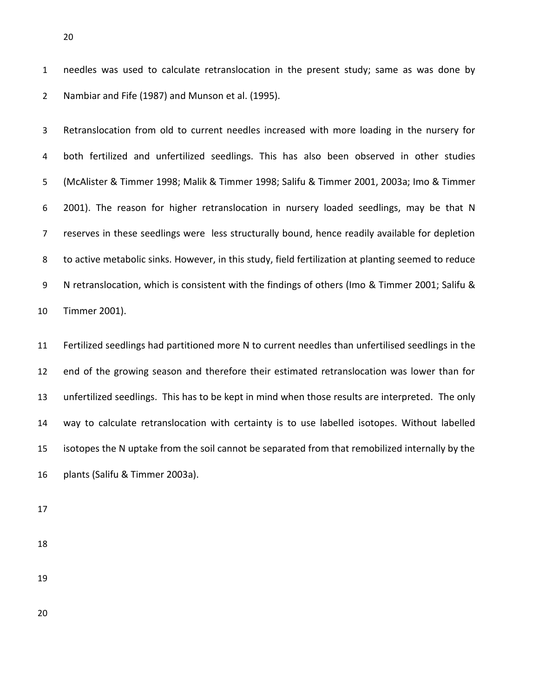needles was used to calculate retranslocation in the present study; same as was done by Nambiar and Fife (1987) and Munson et al. (1995).

 Retranslocation from old to current needles increased with more loading in the nursery for both fertilized and unfertilized seedlings. This has also been observed in other studies (McAlister & Timmer 1998; Malik & Timmer 1998; Salifu & Timmer 2001, 2003a; Imo & Timmer 2001). The reason for higher retranslocation in nursery loaded seedlings, may be that N reserves in these seedlings were less structurally bound, hence readily available for depletion to active metabolic sinks. However, in this study, field fertilization at planting seemed to reduce N retranslocation, which is consistent with the findings of others (Imo & Timmer 2001; Salifu & Timmer 2001).

 Fertilized seedlings had partitioned more N to current needles than unfertilised seedlings in the end of the growing season and therefore their estimated retranslocation was lower than for unfertilized seedlings. This has to be kept in mind when those results are interpreted. The only way to calculate retranslocation with certainty is to use labelled isotopes. Without labelled isotopes the N uptake from the soil cannot be separated from that remobilized internally by the plants (Salifu & Timmer 2003a).

- 
- 
-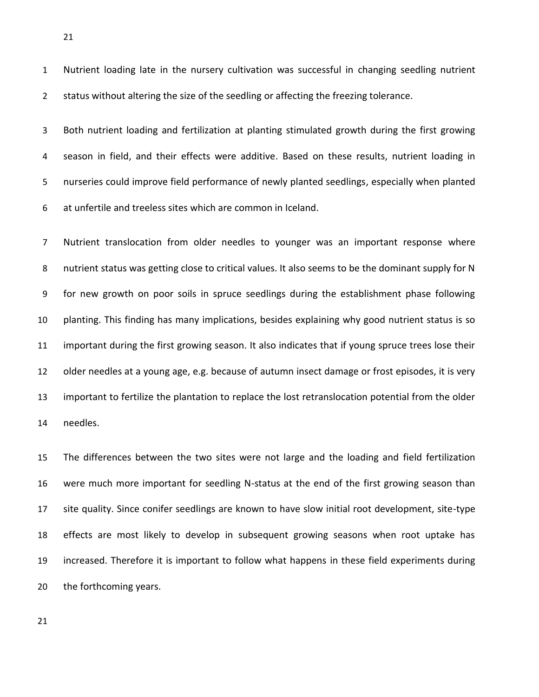Nutrient loading late in the nursery cultivation was successful in changing seedling nutrient 2 status without altering the size of the seedling or affecting the freezing tolerance.

 Both nutrient loading and fertilization at planting stimulated growth during the first growing season in field, and their effects were additive. Based on these results, nutrient loading in nurseries could improve field performance of newly planted seedlings, especially when planted at unfertile and treeless sites which are common in Iceland.

 Nutrient translocation from older needles to younger was an important response where nutrient status was getting close to critical values. It also seems to be the dominant supply for N for new growth on poor soils in spruce seedlings during the establishment phase following planting. This finding has many implications, besides explaining why good nutrient status is so important during the first growing season. It also indicates that if young spruce trees lose their older needles at a young age, e.g. because of autumn insect damage or frost episodes, it is very important to fertilize the plantation to replace the lost retranslocation potential from the older needles.

 The differences between the two sites were not large and the loading and field fertilization were much more important for seedling N-status at the end of the first growing season than site quality. Since conifer seedlings are known to have slow initial root development, site-type effects are most likely to develop in subsequent growing seasons when root uptake has increased. Therefore it is important to follow what happens in these field experiments during the forthcoming years.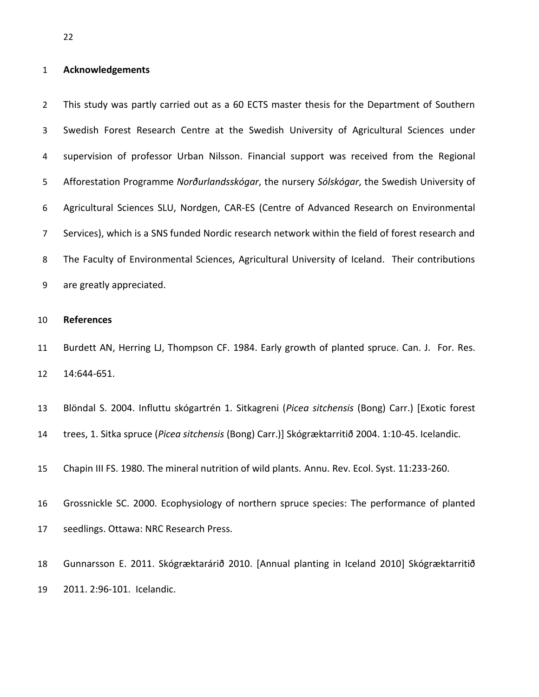## **Acknowledgements**

 This study was partly carried out as a 60 ECTS master thesis for the Department of Southern Swedish Forest Research Centre at the Swedish University of Agricultural Sciences under supervision of professor Urban Nilsson. Financial support was received from the Regional Afforestation Programme *Norðurlandsskógar*, the nursery *Sólskógar*, the Swedish University of Agricultural Sciences SLU, Nordgen, CAR-ES (Centre of Advanced Research on Environmental Services), which is a SNS funded Nordic research network within the field of forest research and The Faculty of Environmental Sciences, Agricultural University of Iceland. Their contributions are greatly appreciated.

#### **References**

11 Burdett AN, Herring LJ, Thompson CF. 1984. Early growth of planted spruce. Can. J. For. Res. 14:644-651.

Blöndal S. 2004. Influttu skógartrén 1. Sitkagreni (*Picea sitchensis* (Bong) Carr.) [Exotic forest

trees, 1. Sitka spruce (*Picea sitchensis* (Bong) Carr.)] Skógræktarritið 2004. 1:10-45. Icelandic.

Chapin III FS. 1980. The mineral nutrition of wild plants. Annu. Rev. Ecol. Syst. 11:233-260.

 Grossnickle SC. 2000. Ecophysiology of northern spruce species: The performance of planted seedlings. Ottawa: NRC Research Press.

 Gunnarsson E. 2011. Skógræktarárið 2010. [Annual planting in Iceland 2010] Skógræktarritið 2011. 2:96-101. Icelandic.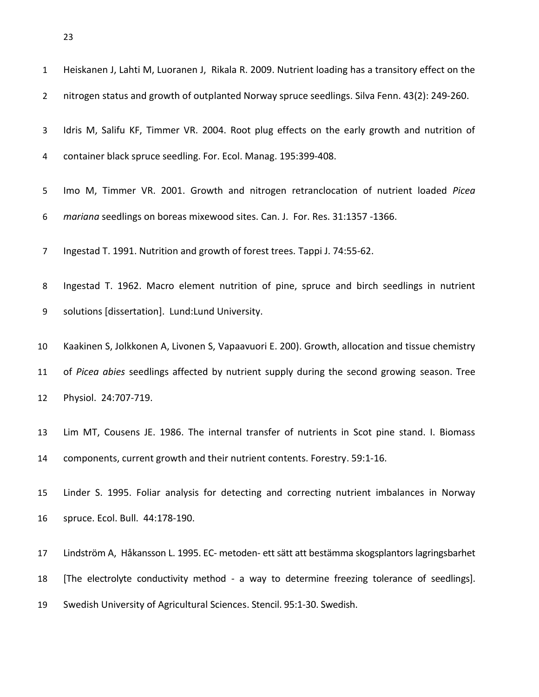| $\mathbf{1}$   | Heiskanen J, Lahti M, Luoranen J, Rikala R. 2009. Nutrient loading has a transitory effect on the |
|----------------|---------------------------------------------------------------------------------------------------|
| $\overline{2}$ | nitrogen status and growth of outplanted Norway spruce seedlings. Silva Fenn. 43(2): 249-260.     |
| 3              | Idris M, Salifu KF, Timmer VR. 2004. Root plug effects on the early growth and nutrition of       |
| 4              | container black spruce seedling. For. Ecol. Manag. 195:399-408.                                   |
| 5              | Imo M, Timmer VR. 2001. Growth and nitrogen retranclocation of nutrient loaded Picea              |
| 6              | mariana seedlings on boreas mixewood sites. Can. J. For. Res. 31:1357 -1366.                      |
| $\overline{7}$ | Ingestad T. 1991. Nutrition and growth of forest trees. Tappi J. 74:55-62.                        |
| 8              | Ingestad T. 1962. Macro element nutrition of pine, spruce and birch seedlings in nutrient         |
| 9              | solutions [dissertation]. Lund:Lund University.                                                   |
| 10             | Kaakinen S, Jolkkonen A, Livonen S, Vapaavuori E. 200). Growth, allocation and tissue chemistry   |
| 11             | of Picea abies seedlings affected by nutrient supply during the second growing season. Tree       |
| 12             | Physiol. 24:707-719.                                                                              |
| 13             | Lim MT, Cousens JE. 1986. The internal transfer of nutrients in Scot pine stand. I. Biomass       |
| 14             | components, current growth and their nutrient contents. Forestry. 59:1-16.                        |
| 15             | Linder S. 1995. Foliar analysis for detecting and correcting nutrient imbalances in Norway        |
| 16             | spruce. Ecol. Bull. 44:178-190.                                                                   |
| 17             | Lindström A, Håkansson L. 1995. EC- metoden- ett sätt att bestämma skogsplantors lagringsbarhet   |
| 18             | [The electrolyte conductivity method - a way to determine freezing tolerance of seedlings].       |
| 19             | Swedish University of Agricultural Sciences. Stencil. 95:1-30. Swedish.                           |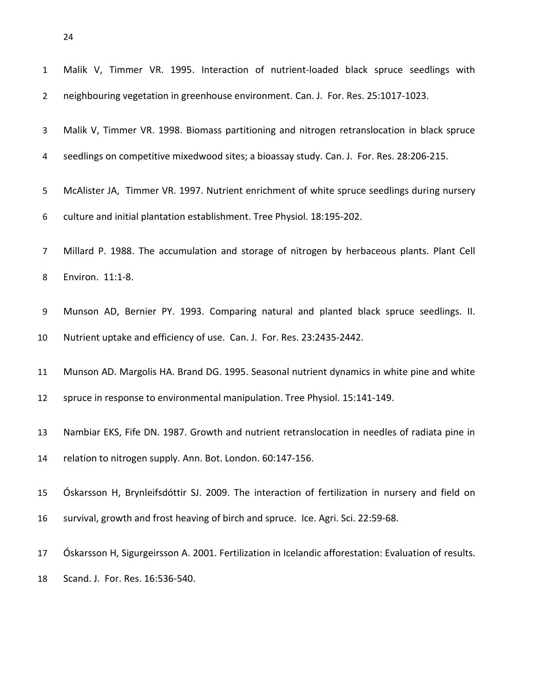| $\mathbf{1}$   | Malik V, Timmer VR. 1995. Interaction of nutrient-loaded black spruce seedlings with                 |
|----------------|------------------------------------------------------------------------------------------------------|
| $\overline{2}$ | neighbouring vegetation in greenhouse environment. Can. J. For. Res. 25:1017-1023.                   |
| 3              | Malik V, Timmer VR. 1998. Biomass partitioning and nitrogen retranslocation in black spruce          |
| 4              | seedlings on competitive mixedwood sites; a bioassay study. Can. J. For. Res. 28:206-215.            |
| 5              | McAlister JA, Timmer VR. 1997. Nutrient enrichment of white spruce seedlings during nursery          |
| 6              | culture and initial plantation establishment. Tree Physiol. 18:195-202.                              |
| 7              | Millard P. 1988. The accumulation and storage of nitrogen by herbaceous plants. Plant Cell           |
| 8              | Environ. 11:1-8.                                                                                     |
| 9              | Munson AD, Bernier PY. 1993. Comparing natural and planted black spruce seedlings. II.               |
| 10             | Nutrient uptake and efficiency of use. Can. J. For. Res. 23:2435-2442.                               |
| 11             | Munson AD. Margolis HA. Brand DG. 1995. Seasonal nutrient dynamics in white pine and white           |
| 12             | spruce in response to environmental manipulation. Tree Physiol. 15:141-149.                          |
| 13             | Nambiar EKS, Fife DN. 1987. Growth and nutrient retranslocation in needles of radiata pine in        |
| 14             | relation to nitrogen supply. Ann. Bot. London. 60:147-156.                                           |
| 15             | Óskarsson H, Brynleifsdóttir SJ. 2009. The interaction of fertilization in nursery and field on      |
| 16             | survival, growth and frost heaving of birch and spruce. Ice. Agri. Sci. 22:59-68.                    |
| 17             | Óskarsson H, Sigurgeirsson A. 2001. Fertilization in Icelandic afforestation: Evaluation of results. |
| 18             | Scand. J. For. Res. 16:536-540.                                                                      |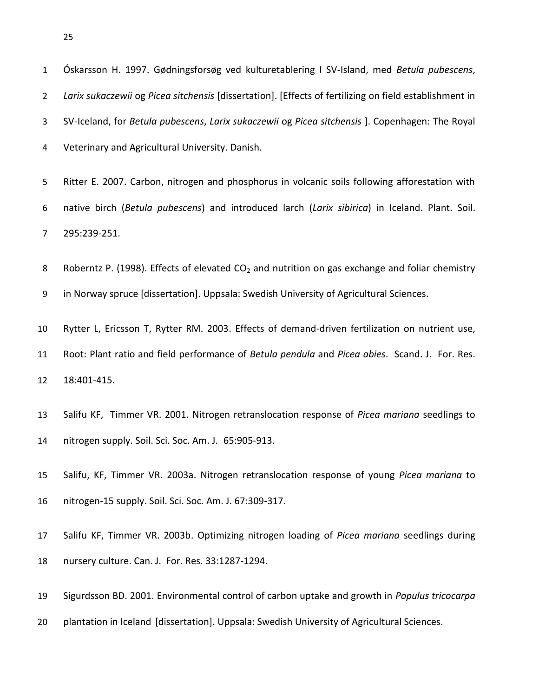Óskarsson H. 1997. Gødningsforsøg ved kulturetablering I SV-Island, med *Betula pubescens*, *Larix sukaczewii* og *Picea sitchensis* [dissertation]. [Effects of fertilizing on field establishment in SV-Iceland, for *Betula pubescens*, *Larix sukaczewii* og *Picea sitchensis* ]. Copenhagen: The Royal Veterinary and Agricultural University. Danish. Ritter E. 2007. Carbon, nitrogen and phosphorus in volcanic soils following afforestation with native birch (*Betula pubescens*) and introduced larch (*Larix sibirica*) in Iceland. Plant. Soil. 295:239-251. 8 Roberntz P. (1998). Effects of elevated  $CO<sub>2</sub>$  and nutrition on gas exchange and foliar chemistry in Norway spruce [dissertation]. Uppsala: Swedish University of Agricultural Sciences. Rytter L, Ericsson T, Rytter RM. 2003. Effects of demand-driven fertilization on nutrient use, Root: Plant ratio and field performance of *Betula pendula* and *Picea abies*. Scand. J. For. Res. 18:401-415. Salifu KF, Timmer VR. 2001. Nitrogen retranslocation response of *Picea mariana* seedlings to nitrogen supply. Soil. Sci. Soc. Am. J. 65:905-913. Salifu, KF, Timmer VR. 2003a. Nitrogen retranslocation response of young *Picea mariana* to

nitrogen-15 supply. Soil. Sci. Soc. Am. J. 67:309-317.

 Salifu KF, Timmer VR. 2003b. Optimizing nitrogen loading of *Picea mariana* seedlings during nursery culture. Can. J. For. Res. 33:1287-1294.

Sigurdsson BD. 2001. Environmental control of carbon uptake and growth in *Populus tricocarpa*

plantation in Iceland [dissertation]. Uppsala: Swedish University of Agricultural Sciences.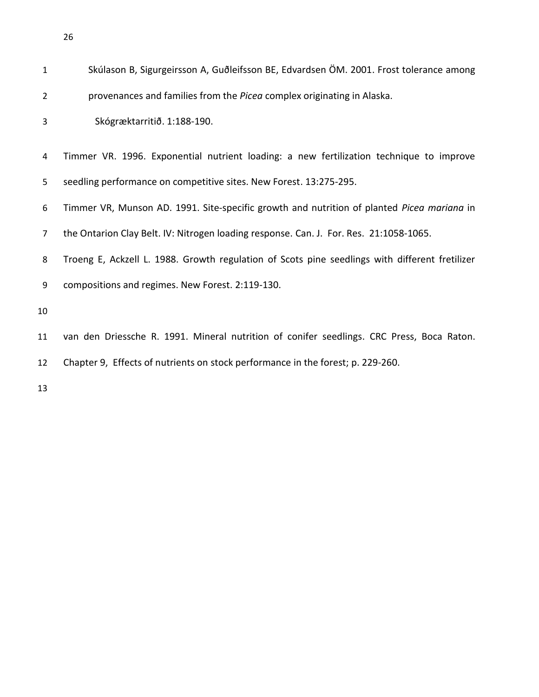| $\mathbf{1}$   | Skúlason B, Sigurgeirsson A, Guðleifsson BE, Edvardsen ÖM. 2001. Frost tolerance among         |
|----------------|------------------------------------------------------------------------------------------------|
| $\overline{2}$ | provenances and families from the Picea complex originating in Alaska.                         |
| 3              | Skógræktarritið. 1:188-190.                                                                    |
| 4              | Timmer VR. 1996. Exponential nutrient loading: a new fertilization technique to improve        |
| 5              | seedling performance on competitive sites. New Forest. 13:275-295.                             |
| 6              | Timmer VR, Munson AD. 1991. Site-specific growth and nutrition of planted Picea mariana in     |
| 7              | the Ontarion Clay Belt. IV: Nitrogen loading response. Can. J. For. Res. 21:1058-1065.         |
| 8              | Troeng E, Ackzell L. 1988. Growth regulation of Scots pine seedlings with different fretilizer |
| 9              | compositions and regimes. New Forest. 2:119-130.                                               |
| 10             |                                                                                                |
| 11             | van den Driessche R. 1991. Mineral nutrition of conifer seedlings. CRC Press, Boca Raton.      |
| 12             | Chapter 9, Effects of nutrients on stock performance in the forest; p. 229-260.                |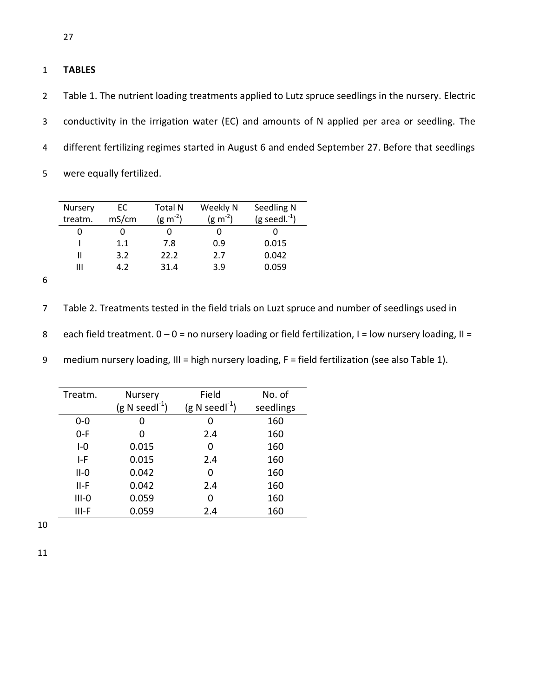## 1 **TABLES**

 Table 1. The nutrient loading treatments applied to Lutz spruce seedlings in the nursery. Electric conductivity in the irrigation water (EC) and amounts of N applied per area or seedling. The different fertilizing regimes started in August 6 and ended September 27. Before that seedlings were equally fertilized.

| Nursery | ЕC    | <b>Total N</b>       | Weekly N             | Seedling N            |
|---------|-------|----------------------|----------------------|-----------------------|
| treatm. | mS/cm | (g m <sup>-2</sup> ) | (g m <sup>-2</sup> ) | $(g$ seedl. $^{-1}$ ) |
|         |       |                      |                      |                       |
|         | 1.1   | 7.8                  | 0.9                  | 0.015                 |
|         | 3.2   | 22.2                 | 2.7                  | 0.042                 |
| Ш       | A 7   | 31.4                 | 3.9                  | 0.059                 |

6

7 Table 2. Treatments tested in the field trials on Luzt spruce and number of seedlings used in

8 each field treatment.  $0 - 0 =$  no nursery loading or field fertilization, I = low nursery loading, II =

9 medium nursery loading, III = high nursery loading, F = field fertilization (see also Table 1).

| Treatm.<br>Nursery |                           | Field                | No. of    |  |
|--------------------|---------------------------|----------------------|-----------|--|
|                    | $(g \text{ N seed}^{-1})$ | (g N seed $l^{-1}$ ) | seedlings |  |
| $0 - 0$            | O                         | 0                    | 160       |  |
| $0-F$              |                           | 2.4                  | 160       |  |
| $I - 0$            | 0.015                     | ი                    | 160       |  |
| I-F                | 0.015                     | 2.4                  | 160       |  |
| $II-0$             | 0.042                     | ი                    | 160       |  |
| II-F               | 0.042                     | 2.4                  | 160       |  |
| $III-O$            | 0.059                     | ი                    | 160       |  |
| III-F              | 0.059                     | 2.4                  | 160       |  |

10

11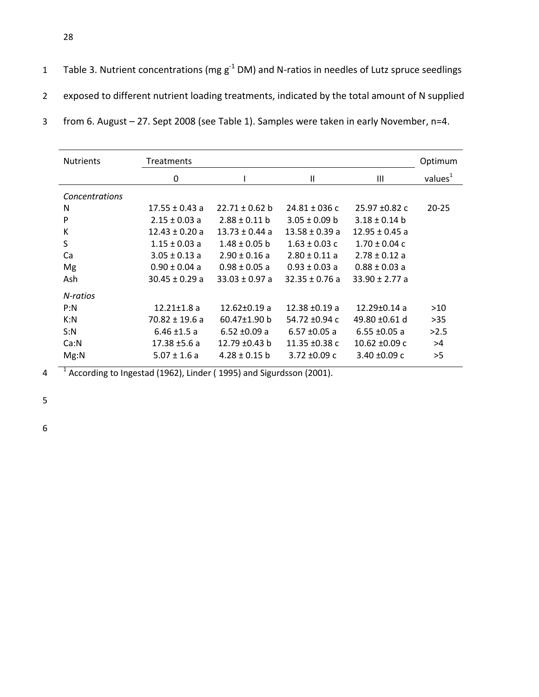| Table 3. Nutrient concentrations (mg $g^{-1}$ DM) and N-ratios in needles of Lutz spruce seedlings |
|----------------------------------------------------------------------------------------------------|
| exposed to different nutrient loading treatments, indicated by the total amount of N supplied      |
| from 6. August - 27. Sept 2008 (see Table 1). Samples were taken in early November, n=4.           |

| <b>Nutrients</b> | <b>Treatments</b>  |                    |                    |                    | Optimum    |
|------------------|--------------------|--------------------|--------------------|--------------------|------------|
|                  | 0                  |                    | Ш                  | Ш                  | values $1$ |
| Concentrations   |                    |                    |                    |                    |            |
| N                | $17.55 \pm 0.43$ a | $22.71 \pm 0.62$ b | $24.81 \pm 036$ c  | $25.97 + 0.82c$    | $20 - 25$  |
| P                | $2.15 \pm 0.03$ a  | $2.88 \pm 0.11$ b  | $3.05 \pm 0.09$ b  | $3.18 \pm 0.14$ b  |            |
| К                | $12.43 \pm 0.20$ a | $13.73 \pm 0.44$ a | $13.58 \pm 0.39$ a | $12.95 \pm 0.45$ a |            |
| S                | $1.15 \pm 0.03$ a  | $1.48 \pm 0.05$ b  | $1.63 \pm 0.03$ c  | $1.70 \pm 0.04$ c  |            |
| Ca               | $3.05 \pm 0.13$ a  | $2.90 \pm 0.16$ a  | $2.80 \pm 0.11$ a  | $2.78 \pm 0.12$ a  |            |
| Mg               | $0.90 \pm 0.04$ a  | $0.98 \pm 0.05$ a  | $0.93 \pm 0.03$ a  | $0.88 \pm 0.03$ a  |            |
| Ash              | $30.45 \pm 0.29$ a | $33.03 \pm 0.97$ a | $32.35 \pm 0.76$ a | $33.90 \pm 2.77$ a |            |
| N-ratios         |                    |                    |                    |                    |            |
| P: N             | $12.21 \pm 1.8$ a  | $12.62 \pm 0.19$ a | $12.38 + 0.19$ a   | $12.29 \pm 0.14$ a | >10        |
| K: N             | $70.82 \pm 19.6$ a | $60.47 \pm 1.90$ b | 54.72 ±0.94 c      | 49.80 ±0.61 d      | >35        |
| S:N              | $6.46 \pm 1.5$ a   | $6.52 \pm 0.09$ a  | $6.57 \pm 0.05$ a  | $6.55 \pm 0.05$ a  | >2.5       |
| Ca:N             | $17.38 \pm 5.6 a$  | 12.79 $\pm$ 0.43 b | 11.35 $\pm$ 0.38 c | $10.62 \pm 0.09$ c | >4         |
| Mg: N            | $5.07 \pm 1.6$ a   | $4.28 \pm 0.15$ b  | $3.72 \pm 0.09$ c  | $3.40 \pm 0.09$ c  | >5         |

 $1^{1}$  According to Ingestad (1962), Linder (1995) and Sigurdsson (2001).

5

6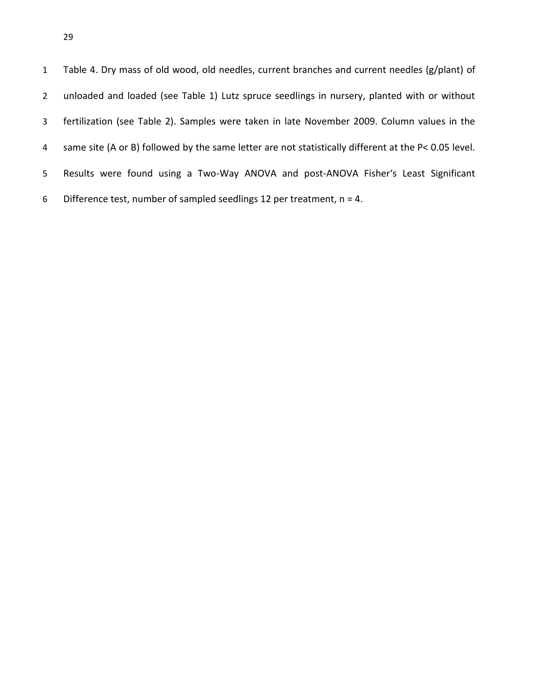Table 4. Dry mass of old wood, old needles, current branches and current needles (g/plant) of unloaded and loaded (see Table 1) Lutz spruce seedlings in nursery, planted with or without fertilization (see Table 2). Samples were taken in late November 2009. Column values in the same site (A or B) followed by the same letter are not statistically different at the P< 0.05 level. Results were found using a Two-Way ANOVA and post-ANOVA Fisher's Least Significant 6 Difference test, number of sampled seedlings 12 per treatment,  $n = 4$ .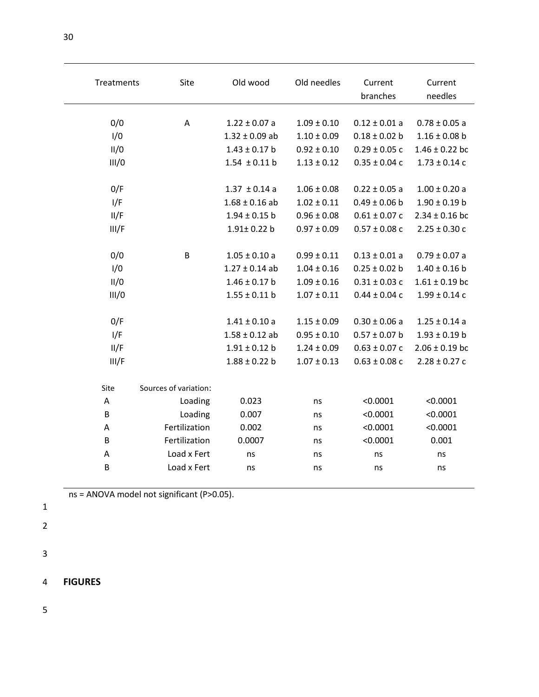| Treatments | Site                  | Old wood           | Old needles     | Current<br>branches | Current<br>needles |
|------------|-----------------------|--------------------|-----------------|---------------------|--------------------|
|            |                       |                    |                 |                     |                    |
| 0/0        | A                     | $1.22 \pm 0.07$ a  | $1.09 \pm 0.10$ | $0.12 \pm 0.01$ a   | $0.78 \pm 0.05$ a  |
| 1/0        |                       | $1.32 \pm 0.09$ ab | $1.10 \pm 0.09$ | $0.18 \pm 0.02$ b   | $1.16 \pm 0.08$ b  |
| II/0       |                       | $1.43 \pm 0.17$ b  | $0.92 \pm 0.10$ | $0.29 \pm 0.05$ c   | $1.46 \pm 0.22$ bc |
| III/0      |                       | $1.54 \pm 0.11$ b  | $1.13 \pm 0.12$ | $0.35 \pm 0.04$ c   | $1.73 \pm 0.14$ c  |
| 0/F        |                       | $1.37 \pm 0.14$ a  | $1.06 \pm 0.08$ | $0.22 \pm 0.05$ a   | $1.00 \pm 0.20$ a  |
| I/F        |                       | $1.68 \pm 0.16$ ab | $1.02 \pm 0.11$ | $0.49 \pm 0.06$ b   | $1.90 \pm 0.19$ b  |
| II/F       |                       | $1.94 \pm 0.15$ b  | $0.96 \pm 0.08$ | $0.61 \pm 0.07$ c   | $2.34 \pm 0.16$ bc |
| III/F      |                       | $1.91 \pm 0.22$ b  | $0.97 \pm 0.09$ | $0.57 \pm 0.08$ c   | $2.25 \pm 0.30$ c  |
| 0/0        | B                     | $1.05 \pm 0.10$ a  | $0.99 \pm 0.11$ | $0.13 \pm 0.01$ a   | $0.79 \pm 0.07$ a  |
| 1/0        |                       | $1.27 \pm 0.14$ ab | $1.04 \pm 0.16$ | $0.25 \pm 0.02$ b   | $1.40 \pm 0.16$ b  |
| II/0       |                       | $1.46 \pm 0.17$ b  | $1.09 \pm 0.16$ | $0.31 \pm 0.03$ c   | $1.61 \pm 0.19$ bc |
| III/0      |                       | $1.55 \pm 0.11$ b  | $1.07 \pm 0.11$ | $0.44 \pm 0.04$ c   | $1.99 \pm 0.14$ c  |
| 0/F        |                       | $1.41 \pm 0.10$ a  | $1.15 \pm 0.09$ | $0.30 \pm 0.06$ a   | $1.25 \pm 0.14$ a  |
| I/F        |                       | $1.58 \pm 0.12$ ab | $0.95 \pm 0.10$ | $0.57 \pm 0.07$ b   | $1.93 \pm 0.19$ b  |
| II/F       |                       | $1.91 \pm 0.12$ b  | $1.24 \pm 0.09$ | $0.63 \pm 0.07$ c   | $2.06 \pm 0.19$ bc |
| III/F      |                       | $1.88 \pm 0.22$ b  | $1.07 \pm 0.13$ | $0.63 \pm 0.08$ c   | $2.28 \pm 0.27$ c  |
| Site       | Sources of variation: |                    |                 |                     |                    |
| A          | Loading               | 0.023              | ns              | < 0.0001            | < 0.0001           |
| B          | Loading               | 0.007              | ns              | < 0.0001            | < 0.0001           |
| А          | Fertilization         | 0.002              | ns              | < 0.0001            | < 0.0001           |
| B          | Fertilization         | 0.0007             | ns              | < 0.0001            | 0.001              |
| A          | Load x Fert           | ns                 | ns              | ns                  | ns                 |
| B          | Load x Fert           | ns                 | ns              | ns                  | ns                 |

- 1
- 2
- 3
- 4 **FIGURES**
- 5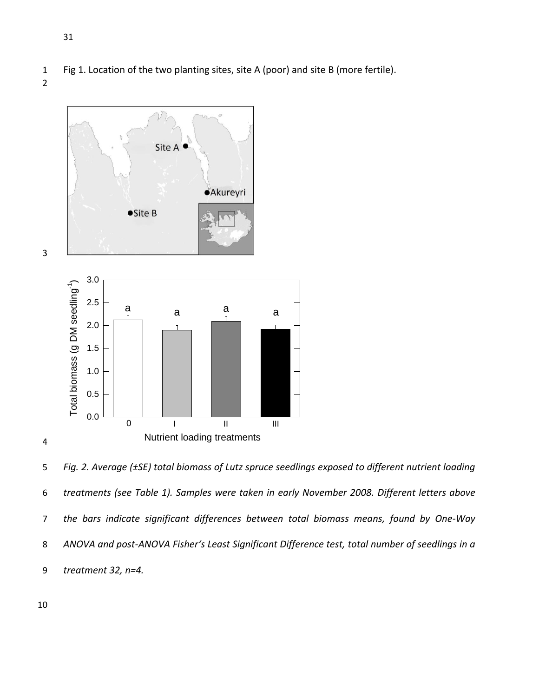- 1 Fig 1. Location of the two planting sites, site A (poor) and site B (more fertile).
- 2



5 *Fig. 2. Average (±SE) total biomass of Lutz spruce seedlings exposed to different nutrient loading*  6 *treatments (see Table 1). Samples were taken in early November 2008. Different letters above*  7 *the bars indicate significant differences between total biomass means, found by One-Way*  8 *ANOVA and post-ANOVA Fisher's Least Significant Difference test, total number of seedlings in a*  9 *treatment 32, n=4.*

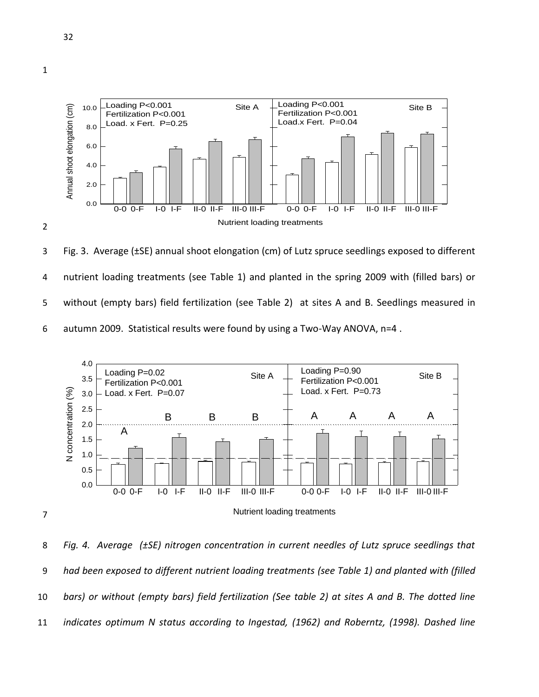

3 Fig. 3. Average (±SE) annual shoot elongation (cm) of Lutz spruce seedlings exposed to different 4 nutrient loading treatments (see Table 1) and planted in the spring 2009 with (filled bars) or 5 without (empty bars) field fertilization (see Table 2) at sites A and B. Seedlings measured in 6 autumn 2009. Statistical results were found by using a Two-Way ANOVA, n=4 .



8 *Fig. 4. Average (±SE) nitrogen concentration in current needles of Lutz spruce seedlings that*  9 *had been exposed to different nutrient loading treatments (see Table 1) and planted with (filled*  10 *bars) or without (empty bars) field fertilization (See table 2) at sites A and B. The dotted line*  11 *indicates optimum N status according to Ingestad, (1962) and Roberntz, (1998). Dashed line*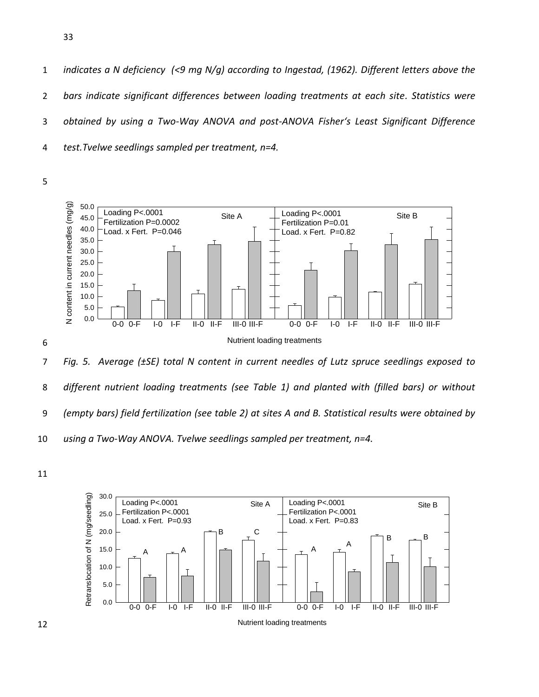*indicates a N deficiency (<9 mg N/g) according to Ingestad, (1962). Different letters above the bars indicate significant differences between loading treatments at each site. Statistics were obtained by using a Two-Way ANOVA and post-ANOVA Fisher's Least Significant Difference test.Tvelwe seedlings sampled per treatment, n=4.* 

5



8 *different nutrient loading treatments (see Table 1) and planted with (filled bars) or without*  9 *(empty bars) field fertilization (see table 2) at sites A and B. Statistical results were obtained by*  10 *using a Two-Way ANOVA. Tvelwe seedlings sampled per treatment, n=4.* 

11

6